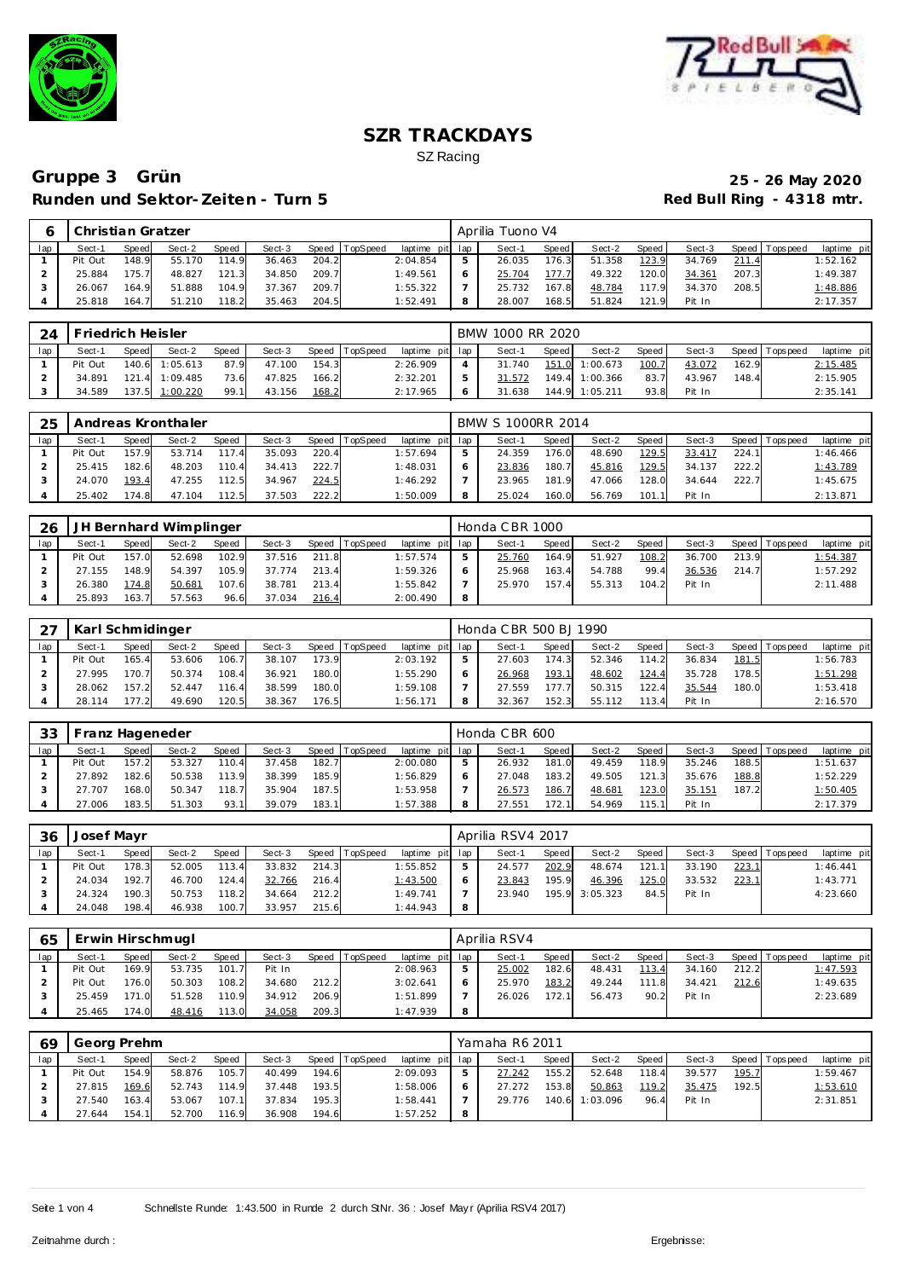



|     | Christian Gratzer |        |        |              |        |       |          |                 | Aprilia Tuono V4 |         |        |         |        |       |                |             |
|-----|-------------------|--------|--------|--------------|--------|-------|----------|-----------------|------------------|---------|--------|---------|--------|-------|----------------|-------------|
| lap | Sect-'            | Speed  | Sect-2 | <b>Speed</b> | Sect-3 | Speed | TopSpeed | laptime pit lap | Sect-1           | Speed i | Sect-2 | Speed I | Sect-3 |       | Speed Topspeed | laptime pit |
|     | Pit Out           | 48.9   | 55.170 | 114.9        | 36.463 | 204.2 |          | 2:04.854        | 26.035           | 176.31  | 51.358 | 123.9   | 34.769 | 211.4 |                | 1:52.162    |
|     | 25.884            | '75.7' | 48.827 | 121.3        | 34.850 | 209.7 |          | 1:49.561        | 25.704           | 177.7   | 49.322 | 120.0   | 34.361 | 207.3 |                | 1:49.387    |
|     | 26.067            | 164.9  | 51.888 | 104.9        | 37.367 | 209.7 |          | 1:55.322        | 25.732           | 167.8   | 48.784 | 117.9   | 34.370 | 208.5 |                | 1:48.886    |
|     | 25.818            | 164.7  | 51.210 | 118.2        | 35.463 | 204.5 |          | 1:52.491        | 28.007           | 168.5   | 51.824 | 121.9   | Pit In |       |                | 2:17.357    |

| 24  | I Friedrich Heisler |       |                |              |        |       |                |                 | BMW 1000 RR 2020 |         |                |       |        |       |                 |             |
|-----|---------------------|-------|----------------|--------------|--------|-------|----------------|-----------------|------------------|---------|----------------|-------|--------|-------|-----------------|-------------|
| lap | Sect-1              | Speed | Sect-2         | <b>Speed</b> | Sect-3 |       | Speed TopSpeed | laptime pit lap | Sect-1           | Speed I | Sect-2         | Speed | Sect-3 |       | Speed Tops peed | laptime pit |
|     | Pit Out             |       | 140.6 1:05.613 | 87.9         | 47.100 | 154.3 |                | 2:26.909        | 31.740           |         | 151.0 1:00.673 | 100.7 | 43.072 | 162.9 |                 | 2:15.485    |
|     | 34.891              | 121.4 | 1:09.485       | 73.6         | 47.825 | 166.2 |                | 2:32.201        | 31.572           |         | 149.4 1:00.366 | 83.7  | 43.967 | 148.4 |                 | 2:15.905    |
|     | 34.589              |       | 137.5 1:00.220 | 99.1         | 43.156 | 168.2 |                | 2:17.965        | 31.638           |         | 144.9 1:05.211 | 93.8  | Pit In |       |                 | 2:35.141    |

| 25  |         |       | Andreas Kronthaler |       |        |       |          |                 |   | BMW S 1000RR 2014 |       |        |       |        |       |                 |             |
|-----|---------|-------|--------------------|-------|--------|-------|----------|-----------------|---|-------------------|-------|--------|-------|--------|-------|-----------------|-------------|
| lap | Sect-1  | Speed | Sect-2             | Speed | Sect-3 | Speed | TopSpeed | laptime pit lap |   | Sect-1            | Speed | Sect-2 | Speed | Sect-3 |       | Speed Tops peed | laptime pit |
|     | Pit Out | 157.9 | 53.714             | 117.4 | 35.093 | 220.4 |          | 1:57.694        | 5 | 24.359            | 176.0 | 48.690 | 129.5 | 33.417 | 224.1 |                 | 1:46.466    |
|     | 25.415  | 182.6 | 48.203             | 110.4 | 34.413 | 222.7 |          | 1:48.031        |   | 23.836            | 180.7 | 45.816 | 129.5 | 34.137 | 222.2 |                 | 1:43.789    |
|     | 24.070  | 193.4 | 47.255             | 112.5 | 34.967 | 224.5 |          | 1:46.292        |   | 23.965            | 181.9 | 47.066 | 128.0 | 34.644 | 222.7 |                 | 1:45.675    |
|     | 25.402  | 174.8 | 47.104             | 112.5 | 37.503 | 222.2 |          | 1:50.009        | 8 | 25.024            | 160.0 | 56.769 | 101.1 | Pit In |       |                 | 2:13.871    |

| 26  |         |              | JH Bernhard Wimplinger |       |        |       |                |                 | Honda CBR 1000 |       |        |       |        |       |                 |             |
|-----|---------|--------------|------------------------|-------|--------|-------|----------------|-----------------|----------------|-------|--------|-------|--------|-------|-----------------|-------------|
| lap | Sect-1  | <b>Speed</b> | Sect-2                 | Speed | Sect-3 |       | Speed TopSpeed | laptime pit lap | Sect-1         | Speed | Sect-2 | Speed | Sect-3 |       | Speed Tops peed | laptime pit |
|     | Pit Out | 157.0        | 52.698                 | 102.9 | 37.516 | 211.8 |                | 1:57.574        | 25.760         | 164.9 | 51.927 | 108.2 | 36.700 | 213.9 |                 | 1:54.387    |
|     | 27.155  | 148.9        | 54.397                 | 105.9 | 37.774 | 213.4 |                | 1:59.326        | 25.968         | 163.4 | 54.788 | 99.4  | 36.536 | 214.7 |                 | 1:57.292    |
|     | 26.380  | 174.8        | 50.681                 | 107.6 | 38.781 | 213.4 |                | 1:55.842        | 25.970         | 157.4 | 55.313 | 104.2 | Pit In |       |                 | 2:11.488    |
|     | 25.893  | 163.7        | 57.563                 | 96.6  | 37.034 | 216.4 |                | 2:00.490        |                |       |        |       |        |       |                 |             |

|     | Karl Schmidinger |                                                                                   |        |       |        |       |  |          |  | Honda C BR 500 BJ 1990 |       |        |       |        |       |                 |             |
|-----|------------------|-----------------------------------------------------------------------------------|--------|-------|--------|-------|--|----------|--|------------------------|-------|--------|-------|--------|-------|-----------------|-------------|
| lap | Sect-1           | <b>TopSpeed</b><br>Sect-2<br>Sect-3<br>laptime pit lap<br>Speed<br>Speed<br>Speed |        |       |        |       |  |          |  | Sect-1                 | Speed | Sect-2 | Speed | Sect-3 |       | Speed Tops peed | laptime pit |
|     | Pit Out          | 165.4                                                                             | 53.606 | 106.7 | 38.107 | 173.9 |  | 2:03.192 |  | 27.603                 | 174.3 | 52.346 | 114.2 | 36.834 | 181.5 |                 | 1:56.783    |
|     | 27.995           | 170.7                                                                             | 50.374 | 108.4 | 36.921 | 180.0 |  | 1:55.290 |  | 26.968                 | 193.1 | 48.602 | 124.4 | 35.728 | 178.5 |                 | 1:51.298    |
|     | 28.062           | 157.2                                                                             | 52.447 | 116.4 | 38.599 | 180.0 |  | 1:59.108 |  | 27.559                 | 177.7 | 50.315 | 122.4 | 35.544 | 180.0 |                 | 1:53.418    |
|     | 28.114           | 177.2                                                                             | 49.690 | 120.5 | 38.367 | 176.5 |  | : 56.171 |  | 32.367                 | 152.3 | 55.112 | 113.4 | Pit In |       |                 | 2:16.570    |

| -33 | Franz Hageneder |       |        |              |        |       |                |                 | Honda CBR 600   |       |        |       |        |       |                 |             |
|-----|-----------------|-------|--------|--------------|--------|-------|----------------|-----------------|-----------------|-------|--------|-------|--------|-------|-----------------|-------------|
| lap | Sect-1          | Speed | Sect-2 | <b>Speed</b> | Sect-3 |       | Speed TopSpeed | laptime pit lap | Sect-1          | Speed | Sect-2 | Speed | Sect-3 |       | Speed Tops peed | laptime pit |
|     | Pit Out         | 157.2 | 53.327 | 110.4        | 37.458 | 182.7 |                | 2:00.080        | 26.932          | 181.0 | 49.459 | 118.9 | 35.246 | 188.5 |                 | 1:51.637    |
|     | 27.892          | 182.6 | 50.538 | 113.9        | 38.399 | 185.9 |                | 1:56.829        | 27.048          | 183.2 | 49.505 | 121.3 | 35.676 | 188.8 |                 | 1:52.229    |
|     | 27.707          | 168.0 | 50.347 | 118.7        | 35.904 | 187.5 |                | 1:53.958        | 26.573          | 186.7 | 48.681 | 23.0  | 35.151 | 187.2 |                 | 1:50.405    |
|     | 27.006          | 183.5 | 51.303 | 93.1         | 39.079 | 183.1 |                | 1:57.388        | $27.55^{\circ}$ | 172.1 | 54.969 | 115.1 | Pit In |       |                 | 2:17.379    |

| 36  | Josef Mayr |       |        |              |        |       |                  |                 |   | Aprilia RSV4 2017 |       |          |       |        |       |                   |             |
|-----|------------|-------|--------|--------------|--------|-------|------------------|-----------------|---|-------------------|-------|----------|-------|--------|-------|-------------------|-------------|
| lap | Sect-1     | Speed | Sect-2 | <b>Speed</b> | Sect-3 |       | Speed   TopSpeed | laptime pit lap |   | Sect-1            | Speed | Sect-2   | Speed | Sect-3 |       | Speed   Tops peed | laptime pit |
|     | Pit Out    | 178.3 | 52.005 | 113.4        | 33.832 | 214.3 |                  | 1:55.852        |   | 24.577            | 202.9 | 48.674   | 121   | 33.190 | 223.1 |                   | 1:46.441    |
|     | 24.034     | 192.7 | 46.700 | 124.4        | 32.766 | 216.4 |                  | 1:43.500        |   | 23.843            | 195.9 | 46.396   | 125.0 | 33.532 | 223.1 |                   | 1:43.771    |
|     | 24.324     | 190.3 | 50.753 | 118.2        | 34.664 | 212.2 |                  | 1:49.741        |   | 23.940            | 195.9 | 3:05.323 | 84.5  | Pit In |       |                   | 4:23.660    |
|     | 24.048     | 198.4 | 46.938 | 100.7        | 33.957 | 215.6 |                  | 1:44.943        | 8 |                   |       |          |       |        |       |                   |             |

| 65  | Erwin Hirschmugl |              |        |              |        |       |                 |                 |   | Aprilia RSV4 |         |        |           |        |       |                 |             |
|-----|------------------|--------------|--------|--------------|--------|-------|-----------------|-----------------|---|--------------|---------|--------|-----------|--------|-------|-----------------|-------------|
| lap | Sect-1           | <b>Speed</b> | Sect-2 | <b>Speed</b> | Sect-3 | Speed | <b>TopSpeed</b> | laptime pit lap |   | Sect-1       | Speed I | Sect-2 | Speed     | Sect-3 |       | Speed Tops peed | laptime pit |
|     | Pit Out          | 169.9        | 53.735 | 101.7        | Pit In |       |                 | 2:08.963        |   | 25.002       | 182.6   | 48.431 | 113.4     | 34.160 | 212.2 |                 | 1:47.593    |
|     | Pit Out          | 176.0        | 50.303 | 108.2        | 34.680 | 212.2 |                 | 3:02.641        |   | 25.970       | 183.2   | 49.244 | 111<br>.8 | 34.421 | 212.6 |                 | 1:49.635    |
|     | 25.459           | 171.0        | 51.528 | 110.9        | 34.912 | 206.9 |                 | 1:51.899        |   | 26.026       | 172.11  | 56.473 | 90.2      | Pit In |       |                 | 2:23.689    |
|     | 25.465           | 174.0        | 48.416 | 113.0        | 34.058 | 209.3 |                 | 1:47.939        | 8 |              |         |        |           |        |       |                 |             |

| 69  | Georg Prehm |              |        |       |        |       |                  |             |     | Yamaha R6 2011 |                    |          |       |        |       |                 |             |
|-----|-------------|--------------|--------|-------|--------|-------|------------------|-------------|-----|----------------|--------------------|----------|-------|--------|-------|-----------------|-------------|
| lap | Sect-1      | <b>Speed</b> | Sect-2 | Speed | Sect-3 |       | Speed   TopSpeed | laptime pit | lap | Sect-1         | Speed              | Sect-2   | Speed | Sect-3 |       | Speed Tops peed | laptime pit |
|     | Pit Out     | 154.9        | 58.876 | 105.7 | 40.499 | 194.6 |                  | 2:09.093    | 5   | 27.242         | 155.2 <sub>1</sub> | 52.648   | 118.4 | 39.577 | 195.7 |                 | 1:59.467    |
|     | 27.815      | 169.6        | 52.743 | 114.9 | 37.448 | 193.5 |                  | 1:58.006    | 6   | 27.272         | 153.8              | 50.863   | 119.2 | 35.475 | 192.5 |                 | 1:53.610    |
|     | 27.540      | 163.4        | 53.067 | 107.1 | 37.834 | 195.3 |                  | 1:58.441    |     | 29.776         | 140.6              | 1:03.096 | 96.4  | Pit In |       |                 | 2:31.851    |
|     | 27.644      | 154.1        | 52.700 | 116.9 | 36.908 | 194.6 |                  | 1:57.252    | 8   |                |                    |          |       |        |       |                 |             |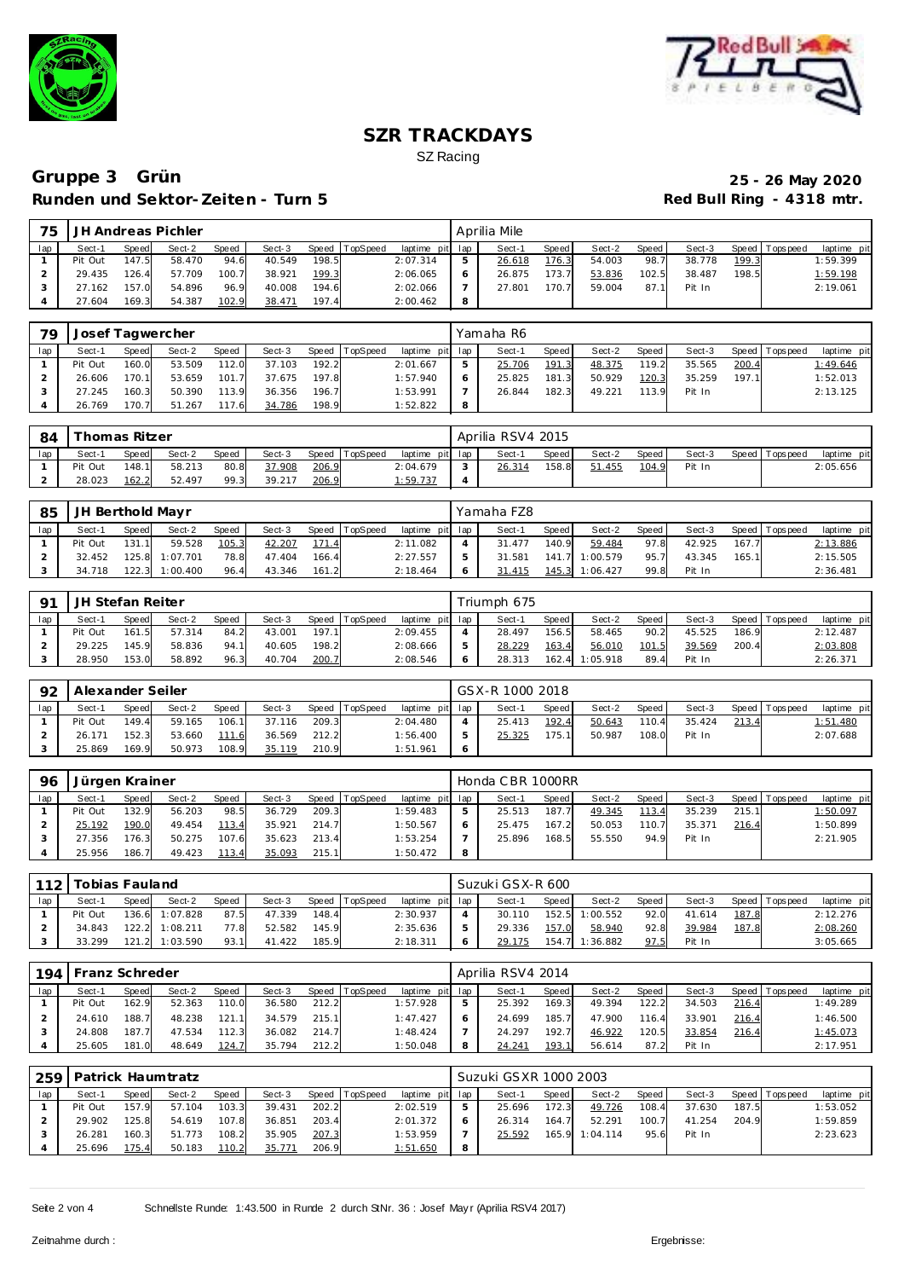



| 75  |          |       | JH Andreas Pichler |       |        |       |                |             |     | Aprilia Mile |              |        |       |        |       |                   |             |
|-----|----------|-------|--------------------|-------|--------|-------|----------------|-------------|-----|--------------|--------------|--------|-------|--------|-------|-------------------|-------------|
| lap | $Sect-1$ | Speed | Sect-2             | Speed | Sect-3 |       | Speed TopSpeed | laptime pit | lap | Sect-1       | <b>Speed</b> | Sect-2 | Speed | Sect-3 |       | Speed   Tops peed | laptime pit |
|     | Pit Out  | 147.5 | 58.470             | 94.6  | 40.549 | 198.5 |                | 2:07.314    | 5   | 26.618       | 176.3        | 54.003 | 98.7  | 38.778 | 199.3 |                   | 1:59.399    |
|     | 29.435   | 126.4 | 57.709             | 100.7 | 38.921 | 199.3 |                | 2:06.065    | 6   | 26.875       | 173.7        | 53.836 | 102.5 | 38.487 | 198.5 |                   | 1:59.198    |
|     | 27.162   | 157.0 | 54.896             | 96.9  | 40.008 | 194.6 |                | 2:02.066    |     | 27.801       | 170.7        | 59.004 | 87.1  | Pit In |       |                   | 2:19.061    |
|     | 27.604   | 169.3 | 54.387             | 102.9 | 38.471 | 197.4 |                | 2:00.462    | 8   |              |              |        |       |        |       |                   |             |

| 79  | Josef Tagwercher |              |        |       |        |       |                |                 |          | Yamaha R6 |       |        |       |        |       |                 |             |
|-----|------------------|--------------|--------|-------|--------|-------|----------------|-----------------|----------|-----------|-------|--------|-------|--------|-------|-----------------|-------------|
| lap | Sect-1           | <b>Speed</b> | Sect-2 | Speed | Sect-3 |       | Speed TopSpeed | laptime pit lap |          | Sect-1    | Speed | Sect-2 | Speed | Sect-3 |       | Speed Tops peed | laptime pit |
|     | Pit Out          | 160.0        | 53.509 | 112.0 | 37.103 | 192.2 |                | 2:01.667        |          | 25.706    | 191.3 | 48.375 | 119.2 | 35.565 | 200.4 |                 | 1:49.646    |
|     | 26.606           | 170.1        | 53.659 | 101.7 | 37.675 | 197.8 |                | 1:57.940        |          | 25.825    | 181.3 | 50.929 | 120.3 | 35.259 | 197.1 |                 | 1:52.013    |
|     | 27.245           | 160.3        | 50.390 | 113.9 | 36.356 | 196.7 |                | 1:53.991        |          | 26.844    | 182.3 | 49.221 | 113.9 | Pit In |       |                 | 2:13.125    |
|     | 26.769           | 170.7        | 51.267 | 117.6 | 34.786 | 198.9 |                | 1:52.822        | $\Omega$ |           |       |        |       |        |       |                 |             |

| 84  |         | í homas Ritzer |        |       |        |       |                |                 | Aprilia RSV4 2015 |         |        |       |        |                |             |
|-----|---------|----------------|--------|-------|--------|-------|----------------|-----------------|-------------------|---------|--------|-------|--------|----------------|-------------|
| lap | Sect-1  | Speed          | Sect-2 | Speed | Sect-3 |       | Speed TopSpeed | laptime pit lap | Sect-1            | Speed I | Sect-2 | Speed | Sect-3 | Speed Topspeed | laptime pit |
|     | Pit Out | 148.1          | 58.213 | 80.8  | 37.908 | 206.9 |                | 2:04.679        | 26.314            | 158.8   | 51.455 | 104.9 | Pit In |                | 2:05.656    |
|     | 28.023  | 162.2          | 52.497 | 99.3  | 39.217 | 206.9 |                | 1:59.737        |                   |         |        |       |        |                |             |

| 85  | JH Berthold Mayr |       |                  |       |        |       |                |                 |         | Yamaha FZ8 |       |                |       |        |       |                |             |
|-----|------------------|-------|------------------|-------|--------|-------|----------------|-----------------|---------|------------|-------|----------------|-------|--------|-------|----------------|-------------|
| lap | Sect-1           | Speed | Sect-2           | Speed | Sect-3 |       | Speed TopSpeed | laptime pit lap |         | Sect-1     | Speed | Sect-2         | Speed | Sect-3 |       | Speed Topspeed | laptime pit |
|     | Pit Out          | 131.1 | 59.528           | 105.3 | 42.207 | 171.4 |                | 2:11.082        |         | 31.477     | 140.9 | 59.484         | 97.8  | 42.925 | 167.7 |                | 2:13.886    |
|     | 32.452           |       | 125.8 1:07.701   | 78.8  | 47.404 | 166.4 |                | 2:27.557        |         | 31.581     |       | 141.7 1:00.579 | 95.7  | 43.345 | 165.1 |                | 2:15.505    |
|     | 34.718           |       | $122.3$ 1:00.400 | 96.4  | 43.346 | 161.2 |                | 2:18.464        | $\circ$ | 31.415     |       | 145.3 1:06.427 | 99.8  | Pit In |       |                | 2:36.481    |

| O <sub>1</sub> | JH Stefan Reiter |       |        |       |        |       |                |                 |   | Triumph 675 |        |          |       |        |       |                   |             |
|----------------|------------------|-------|--------|-------|--------|-------|----------------|-----------------|---|-------------|--------|----------|-------|--------|-------|-------------------|-------------|
| lap            | Sect-1           | Speed | Sect-2 | Speed | Sect-3 |       | Speed TopSpeed | laptime pit lap |   | Sect-1      | Speed  | Sect-2   | Speed | Sect-3 |       | Speed   Tops peed | laptime pit |
|                | Pit Out          | 161.5 | 57.314 | 84.2  | 43.001 | 197.1 |                | 2:09.455        |   | 28.497      | 156.51 | 58.465   | 90.2  | 45.525 | 186.9 |                   | 2:12.487    |
|                | 29.225           | 145.9 | 58.836 | 94.1  | 40.605 | 198.2 |                | 2:08.666        | 5 | 28.229      | 163.4  | 56.010   | 101.5 | 39.569 | 200.4 |                   | 2:03.808    |
|                | 28.950           | 153.0 | 58.892 | 96.3  | 40.704 | 200.7 |                | 2:08.546        | 6 | 28.313      | 162.4  | 1:05.918 | 89.4  | Pit In |       |                   | 2:26.371    |

| 92  | Alexander Seiler |       |        |       |        |       |                |                 |   | GSX-R 1000 2018 |       |        |       |        |       |                |             |
|-----|------------------|-------|--------|-------|--------|-------|----------------|-----------------|---|-----------------|-------|--------|-------|--------|-------|----------------|-------------|
| lap | Sect-1           | Speed | Sect-2 | Speed | Sect-3 |       | Speed TopSpeed | laptime pit lap |   | Sect-1          | Speed | Sect-2 | Speed | Sect-3 |       | Speed Topspeed | laptime pit |
|     | Pit Out          | 149.4 | 59.165 | 106.1 | 37.116 | 209.3 |                | 2:04.480        | 4 | 25.413          | 192.4 | 50.643 | 110.4 | 35.424 | 213.4 |                | 1:51.480    |
|     | 26.171           | 152.3 | 53.660 | 111.6 | 36.569 | 212.2 |                | 1:56.400        | 5 | 25.325          | 175.1 | 50.987 | 108.0 | Pit In |       |                | 2:07.688    |
|     | 25.869           | 169.9 | 50.973 | 108.9 | 35.119 | 210.9 |                | 1:51.961        | 6 |                 |       |        |       |        |       |                |             |

| 96  | Jürgen Krainer |       |        |       |        |       |                |                 |         | Honda CBR 1000RR |                    |        |       |        |       |                 |             |
|-----|----------------|-------|--------|-------|--------|-------|----------------|-----------------|---------|------------------|--------------------|--------|-------|--------|-------|-----------------|-------------|
| lap | Sect-1         | Speed | Sect-2 | Speed | Sect-3 |       | Speed TopSpeed | laptime pit lap |         | Sect-1           | Speed              | Sect-2 | Speed | Sect-3 |       | Speed Tops peed | laptime pit |
|     | Pit Out        | 132.9 | 56.203 | 98.5  | 36.729 | 209.3 |                | 1:59.483        | ь       | 25.513           | 187.7 <sub>1</sub> | 49.345 | 113.4 | 35.239 | 215.1 |                 | 1:50.097    |
|     | 25.192         | 190.0 | 49.454 | 113.4 | 35.921 | 214.7 |                | 1:50.567        | $\circ$ | 25.475           | 167.2              | 50.053 | 110.7 | 35.371 | 216.4 |                 | 1:50.899    |
|     | 27.356         | 176.3 | 50.275 | 107.6 | 35.623 | 213.4 |                | 1:53.254        |         | 25.896           | 168.5              | 55.550 | 94.9  | Pit In |       |                 | 2:21.905    |
|     | 25.956         | 186.7 | 49.423 | 113.4 | 35.093 | 215.1 |                | 1:50.472        | -8      |                  |                    |        |       |        |       |                 |             |

| 112 | Tobias Fauland |              |                |              |        |       |          |                 |   | Suzuki GSX-R 600 |       |          |       |        |       |                |             |
|-----|----------------|--------------|----------------|--------------|--------|-------|----------|-----------------|---|------------------|-------|----------|-------|--------|-------|----------------|-------------|
| lap | Sect-1         | <b>Speed</b> | Sect-2         | <b>Speed</b> | Sect-3 | Speed | TopSpeed | laptime pit lap |   | Sect-1           | Speed | Sect-2   | Speed | Sect-3 |       | Speed Topspeed | laptime pit |
|     | Pit Out        |              | 136.6 1:07.828 | 87.5         | 47.339 | 148.4 |          | 2:30.937        |   | 30.110           | 152.5 | 1:00.552 | 92.0  | 41.614 | 187.8 |                | 2:12.276    |
|     | 34.843         | 122.2        | 1:08.211       | 77.8         | 52.582 | 145.9 |          | 2:35.636        | ь | 29.336           | 157.0 | 58.940   | 92.8  | 39.984 | 187.8 |                | 2:08.260    |
|     | 33.299         | 121.2        | 1:03.590       | 93.1         | 41.422 | 185.9 |          | 2:18.311        |   | 29.175           | 154.7 | 1:36.882 | 97.5  | Pit In |       |                | 3:05.665    |

| 194 | Franz Schreder |              |        |              |        |       |                 |             |     | Aprilia RSV4 2014 |               |        |       |        |       |                 |             |
|-----|----------------|--------------|--------|--------------|--------|-------|-----------------|-------------|-----|-------------------|---------------|--------|-------|--------|-------|-----------------|-------------|
| lap | Sect-1         | <b>Speed</b> | Sect-2 | <b>Speed</b> | Sect-3 | Speed | <b>TopSpeed</b> | laptime pit | lap | Sect-1            | Speed         | Sect-2 | Speed | Sect-3 |       | Speed Tops peed | laptime pit |
|     | Pit Out        | 162.9        | 52.363 | 110.0        | 36.580 | 212.2 |                 | 1:57.928    | ь   | 25.392            | 169.3         | 49.394 | 122.2 | 34.503 | 216.4 |                 | 1:49.289    |
|     | 24.610         | 188.7        | 48.238 | 121          | 34.579 | 215.1 |                 | 1:47.427    |     | 24.699            | 185.7         | 47.900 | 116.4 | 33.901 | 216.4 |                 | 1:46.500    |
|     | 24.808         | 187.7        | 47.534 | 112.3        | 36.082 | 214.7 |                 | 1:48.424    |     | 24.297            | 192.7         | 46.922 | 120.5 | 33.854 | 216.4 |                 | 1:45.073    |
|     | 25.605         | 181.0        | 48.649 | 124.7        | 35.794 | 212.2 |                 | 1:50.048    | 8   | 24.241            | <u> 193. </u> | 56.614 | 87.2  | Pit In |       |                 | 2:17.951    |

| 259 |         |       | Patrick Haumtratz |       |        |       |                |                 | Suzuki GSXR 1000 2003 |       |                |         |        |       |                   |             |
|-----|---------|-------|-------------------|-------|--------|-------|----------------|-----------------|-----------------------|-------|----------------|---------|--------|-------|-------------------|-------------|
| lap | Sect-1  | Speed | Sect-2            | Speed | Sect-3 |       | Speed TopSpeed | laptime pit lap | Sect-1                | Speed | Sect-2         | Speed I | Sect-3 |       | Speed   Tops peed | laptime pit |
|     | Pit Out | 157.9 | 57.104            | 103.3 | 39.431 | 202.2 |                | 2:02.519        | 25.696                | 172.3 | 49.726         | 108.4   | 37.630 | 187.5 |                   | 1:53.052    |
|     | 29.902  | 125.8 | 54.619            | 107.8 | 36.851 | 203.4 |                | 2:01.372        | 26.314                | 164.7 | 52.291         | 100.7   | 41.254 | 204.9 |                   | 1:59.859    |
|     | 26.281  | 160.3 | 51.773            | 108.2 | 35.905 | 207.3 |                | 1:53.959        | 25.592                |       | 165.9 1:04.114 | 95.6    | Pit In |       |                   | 2:23.623    |
|     | 25.696  | 175.4 | 50.183            | 110.2 | 35.771 | 206.9 |                | 1:51.650        |                       |       |                |         |        |       |                   |             |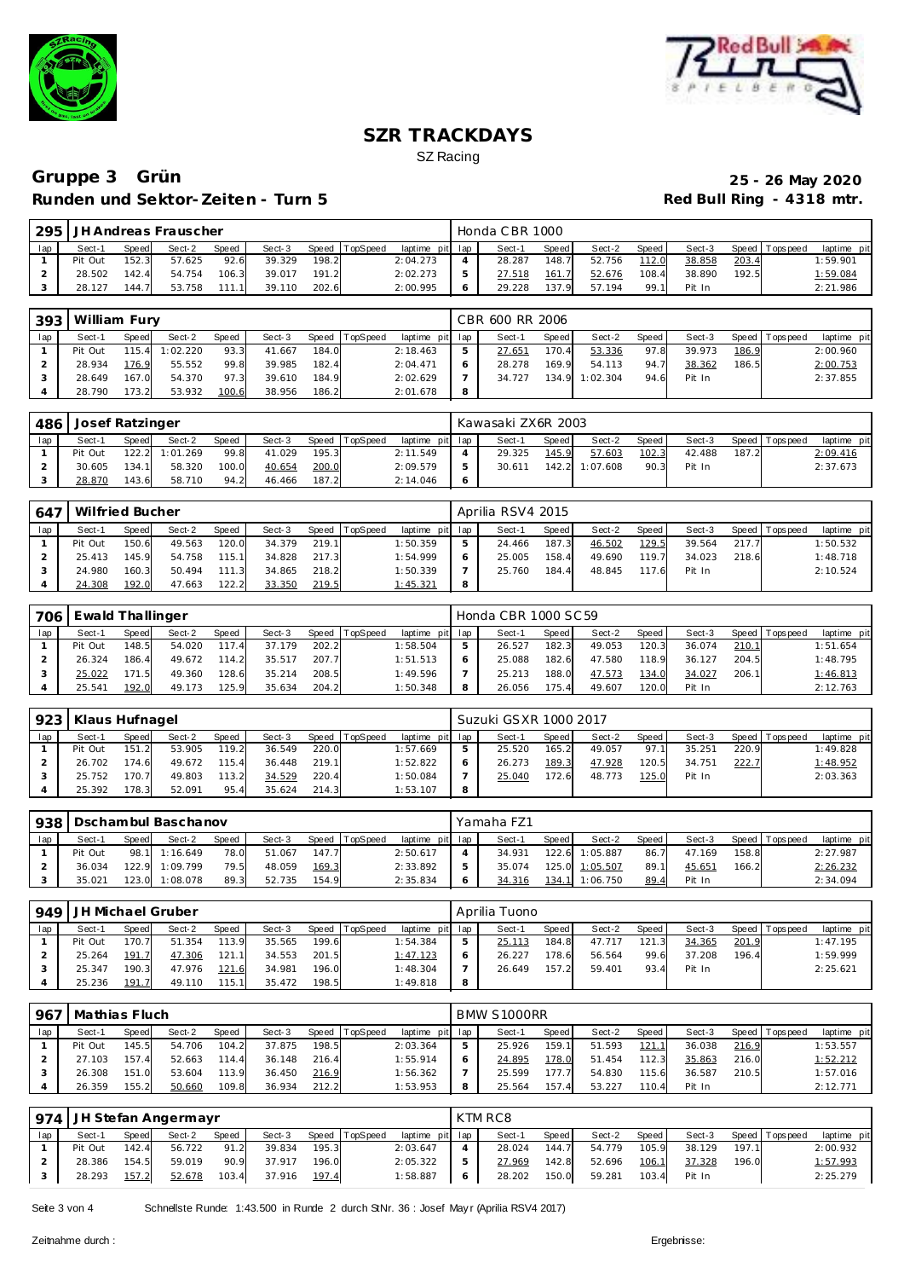



|     |         |              | 295   JH Andreas Frauscher |       |        |       |                |                 |   | Honda CBR 1000 |         |        |       |        |       |                 |             |
|-----|---------|--------------|----------------------------|-------|--------|-------|----------------|-----------------|---|----------------|---------|--------|-------|--------|-------|-----------------|-------------|
| lap | Sect-1  | <b>Speed</b> | Sect-2                     | Speed | Sect-3 |       | Speed TopSpeed | laptime pit lap |   | Sect-1         | Speed I | Sect-2 | Speed | Sect-3 |       | Speed Tops peed | laptime pit |
|     | Pit Out | 152.3        | 57.625                     | 92.6  | 39.329 | 198.2 |                | 2:04.273        |   | 28.287         | 148.7   | 52.756 | 112.0 | 38.858 | 203.4 |                 | 1:59.901    |
|     | 28.502  | 142.4        | 54.754                     | 106.3 | 39.017 | 191.2 |                | 2:02.273        |   | 27.518         | 161.7   | 52.676 | 108.4 | 38.890 | 192.5 |                 | 1:59.084    |
|     | 28.127  | 144.7        | 53.758                     | 111.1 | 39.110 | 202.6 |                | 2:00.995        | 6 | 29.228         | 137.9   | 57.194 | 99.1  | Pit In |       |                 | 2:21.986    |

|     | 393   William Fury |       |          |       |        |       |                |                 |   | CBR 600 RR 2006 |       |          |       |        |       |                 |             |
|-----|--------------------|-------|----------|-------|--------|-------|----------------|-----------------|---|-----------------|-------|----------|-------|--------|-------|-----------------|-------------|
| lap | Sect-1             | Speed | Sect-2   | Speed | Sect-3 |       | Speed TopSpeed | laptime pit lap |   | Sect-1          | Speed | Sect-2   | Speed | Sect-3 |       | Speed Tops peed | laptime pit |
|     | Pit Out            | 115.4 | 1:02.220 | 93.3  | 41.667 | 184.0 |                | 2:18.463        | 5 | 27.651          | 170.4 | 53.336   | 97.8  | 39.973 | 186.9 |                 | 2:00.960    |
|     | 28.934             | 176.9 | 55.552   | 99.8  | 39.985 | 182.4 |                | 2:04.471        | 6 | 28.278          | 169.9 | 54.113   | 94.7  | 38.362 | 186.5 |                 | 2:00.753    |
|     | 28.649             | 167.0 | 54.370   | 97.3  | 39.610 | 184.9 |                | 2:02.629        |   | 34.727          | 134.9 | 1:02.304 | 94.6  | Pit In |       |                 | 2:37.855    |
|     | 28.790             | 173.2 | 53.932   | 100.6 | 38.956 | 186.2 |                | 2:01.678        | 8 |                 |       |          |       |        |       |                 |             |

| 486 | Josef Ratzinger |       |                |       |        |       |                |                 | Kawasaki ZX6R 2003 |       |                |       |        |       |                |             |
|-----|-----------------|-------|----------------|-------|--------|-------|----------------|-----------------|--------------------|-------|----------------|-------|--------|-------|----------------|-------------|
| lap | Sect-1          | Speed | Sect-2         | Speed | Sect-3 |       | Speed TopSpeed | laptime pit lap | Sect-1             | Speed | Sect-2         | Speed | Sect-3 |       | Speed Topspeed | laptime pit |
|     | Pit Out         |       | 122.2 1:01.269 | 99.8  | 41.029 | 195.3 |                | 2:11.549        | 29.325             | 145.9 | 57.603         | 102.3 | 42.488 | 187.2 |                | 2:09.416    |
|     | 30.605          | 134.1 | 58.320         | 100.0 | 40.654 | 200.0 |                | 2:09.579        | 30.611             |       | 142.2 1:07.608 | 90.3  | Pit In |       |                | 2:37.673    |
|     | 28.870          | 143.6 | 58.710         | 94.2  | 46.466 | 187.2 |                | 2:14.046        |                    |       |                |       |        |       |                |             |

| 647 | Wilfried Bucher |       |        |       |        |       |                |                 |   | Aprilia RSV4 2015 |       |        |         |        |       |                   |             |
|-----|-----------------|-------|--------|-------|--------|-------|----------------|-----------------|---|-------------------|-------|--------|---------|--------|-------|-------------------|-------------|
| lap | Sect-1          | Speed | Sect-2 | Speed | Sect-3 |       | Speed TopSpeed | laptime pit lap |   | Sect-1            | Speed | Sect-2 | Speed I | Sect-3 |       | Speed   Tops peed | laptime pit |
|     | Pit Out         | 150.6 | 49.563 | 120.0 | 34.379 | 219.1 |                | 1:50.359        |   | 24.466            | 187.3 | 46.502 | 129.5   | 39.564 | 217.7 |                   | 1:50.532    |
|     | 25.413          | 145.9 | 54.758 | 115.1 | 34.828 | 217.3 |                | 1:54.999        |   | 25.005            | 158.4 | 49.690 | 119.7   | 34.023 | 218.6 |                   | 1:48.718    |
|     | 24.980          | 160.3 | 50.494 | 111.3 | 34.865 | 218.2 |                | 1:50.339        |   | 25.760            | 184.4 | 48.845 | 117.6   | Pit In |       |                   | 2:10.524    |
|     | 24.308          | 192.0 | 47.663 | 122.2 | 33.350 | 219.5 |                | 1:45.321        | 8 |                   |       |        |         |        |       |                   |             |

| 706 | Ewald Thallinger |              |        |       |        |       |                 |                 |   | Honda CBR 1000 SC 59 |       |        |       |        |       |                |             |
|-----|------------------|--------------|--------|-------|--------|-------|-----------------|-----------------|---|----------------------|-------|--------|-------|--------|-------|----------------|-------------|
| lap | Sect-1           | <b>Speed</b> | Sect-2 | Speed | Sect-3 | Speed | <b>TopSpeed</b> | laptime pit lap |   | Sect-1               | Speed | Sect-2 | Speed | Sect-3 |       | Speed Topspeed | laptime pit |
|     | Pit Out          | 148.5        | 54.020 | 117.4 | 37.179 | 202.2 |                 | 1:58.504        | 5 | 26.527               | 182.3 | 49.053 | 120.3 | 36.074 | 210.1 |                | 1:51.654    |
|     | 26.324           | 186.4        | 49.672 | 114.2 | 35.517 | 207.7 |                 | 1:51.513        |   | 25.088               | 182.6 | 47.580 | 118.9 | 36.127 | 204.5 |                | 1:48.795    |
|     | 25.022           | 171.5        | 49.360 | 128.6 | 35.214 | 208.5 |                 | 1:49.596        |   | 25.213               | 188.0 | 47.573 | 134.0 | 34.027 | 206.1 |                | 1:46.813    |
|     | 25.541           | 192.0        | 49.173 | 125.9 | 35.634 | 204.2 |                 | 1:50.348        | 8 | 26.056               | 175.4 | 49.607 | 120.0 | Pit In |       |                | 2:12.763    |

| 923 | Klaus Hufnagel |       |        |       |        | Suzuki GSXR 1000 2017 |          |                 |   |        |       |        |         |        |       |                 |             |
|-----|----------------|-------|--------|-------|--------|-----------------------|----------|-----------------|---|--------|-------|--------|---------|--------|-------|-----------------|-------------|
| lap | Sect-1         | Speed | Sect-2 | Speed | Sect-3 | Speed                 | TopSpeed | laptime pit lap |   | Sect-1 | Speed | Sect-2 | Speed I | Sect-3 |       | Speed Tops peed | laptime pit |
|     | Pit Out        | 151.2 | 53.905 | 119.2 | 36.549 | 220.0                 |          | 1:57.669        |   | 25.520 | 165.2 | 49.057 | 97.1    | 35.251 | 220.9 |                 | 1:49.828    |
|     | 26.702         | 174.6 | 49.672 | 115.4 | 36.448 | 219.1                 |          | 1:52.822        |   | 26.273 | 189.3 | 47.928 | 120.5   | 34.751 | 222.7 |                 | 1:48.952    |
|     | 25.752         | 170.7 | 49.803 | 113.2 | 34.529 | 220.4                 |          | 1:50.084        |   | 25.040 | 172.6 | 48.773 | 125.0   | Pit In |       |                 | 2:03.363    |
|     | 25.392         | 78.3  | 52.091 | 95.4  | 35.624 | 214.3                 |          | 1:53.107        | 8 |        |       |        |         |        |       |                 |             |

|     | Dschambul Baschanov<br>938 |       |          |       |        |       |          |                 |  | Yamaha FZ1 |       |          |       |        |       |                   |             |  |  |  |
|-----|----------------------------|-------|----------|-------|--------|-------|----------|-----------------|--|------------|-------|----------|-------|--------|-------|-------------------|-------------|--|--|--|
| lap | Sect-1                     | Speed | Sect-2   | Speed | Sect-3 | Speed | TopSpeed | laptime pit lap |  | Sect-1     | Speed | Sect-2   | Speed | Sect-3 |       | Speed   Tops peed | laptime pit |  |  |  |
|     | Pit Out                    | 98.1  | 1:16.649 | 78.0  | 51.067 | 147.7 |          | 2:50.617        |  | 34.931     | 122.6 | 1:05.887 | 86.7  | 47.169 | 158.8 |                   | 2:27.987    |  |  |  |
|     | 36.034                     | 122.9 | 1:09.799 | 79.5  | 48.059 | 169.3 |          | 2:33.892        |  | 35.074     | 125.0 | 1:05.507 | 89.1  | 45.651 | 166.2 |                   | 2:26.232    |  |  |  |
|     | 35.021                     | 123.0 | 1:08.078 | 89.3  | 52.735 | 154.9 |          | 2:35.834        |  | 34.316     | 134.1 | 1:06.750 | 89.4  | Pit In |       |                   | 2:34.094    |  |  |  |

| 949 | l JH Michael Gruber |       |        |       |        |       |                 |                 |   | Aprilia Tuono |              |        |       |        |       |                 |             |  |  |
|-----|---------------------|-------|--------|-------|--------|-------|-----------------|-----------------|---|---------------|--------------|--------|-------|--------|-------|-----------------|-------------|--|--|
| lap | Sect-1              | Speed | Sect-2 | Speed | Sect-3 | Speed | <b>TopSpeed</b> | laptime pit lap |   | Sect-1        | <b>Speed</b> | Sect-2 | Speed | Sect-3 |       | Speed Tops peed | laptime pit |  |  |
|     | Pit Out             | 170.7 | 51.354 | 113.9 | 35.565 | 199.6 |                 | 1:54.384        |   | 25.113        | 184.8        | 47.717 | 121.3 | 34.365 | 201.9 |                 | 1:47.195    |  |  |
|     | 25.264              | 191.7 | 47.306 | 121.1 | 34.553 | 201.5 |                 | 1:47.123        |   | 26.227        | 178.6        | 56.564 | 99.6  | 37.208 | 196.4 |                 | 1:59.999    |  |  |
|     | 25.347              | 190.3 | 47.976 | 121.6 | 34.981 | 196.0 |                 | 1:48.304        |   | 26.649        | 157.2        | 59.401 | 93.4  | Pit In |       |                 | 2:25.621    |  |  |
|     | 25.236              | 191.7 | 49.110 | 115.1 | 35.472 | 198.5 |                 | 1:49.818        | 8 |               |              |        |       |        |       |                 |             |  |  |

| 967 | Mathias Fluch |       |        |              |        |       |          |                 |  |        | BMW S1000RR |        |       |        |       |                |             |  |  |  |  |
|-----|---------------|-------|--------|--------------|--------|-------|----------|-----------------|--|--------|-------------|--------|-------|--------|-------|----------------|-------------|--|--|--|--|
| lap | Sect-1        | Speed | Sect-2 | <b>Speed</b> | Sect-3 | Speed | TopSpeed | laptime pit lap |  | Sect-1 | Speed       | Sect-2 | Speed | Sect-3 |       | Speed Topspeed | laptime pit |  |  |  |  |
|     | Pit Out       | 145.5 | 54.706 | 104.2        | 37.875 | 198.5 |          | 2:03.364        |  | 25.926 | 159.1       | 51.593 | 121.1 | 36.038 | 216.9 |                | 1:53.557    |  |  |  |  |
|     | 27.103        | 157.4 | 52.663 | 114.4        | 36.148 | 216.4 |          | 1:55.914        |  | 24.895 | 178.0       | 51.454 | 112.3 | 35.863 | 216.0 |                | 1:52.212    |  |  |  |  |
|     | 26.308        | 151.0 | 53.604 | 113.9        | 36.450 | 216.9 |          | 1:56.362        |  | 25.599 | 177.7       | 54.830 | 115.6 | 36.587 | 210.5 |                | 1:57.016    |  |  |  |  |
|     | 26.359        | 155.2 | 50.660 | 109.8        | 36.934 | 212.2 |          | 1:53.953        |  | 25.564 | 157.4       | 53.227 | 110.4 | Pit In |       |                | 2:12.771    |  |  |  |  |

|     | 974   JH Stefan Angermayr |       |        |       |        | KTM RC8 |                |                 |     |        |       |        |       |        |       |                   |             |
|-----|---------------------------|-------|--------|-------|--------|---------|----------------|-----------------|-----|--------|-------|--------|-------|--------|-------|-------------------|-------------|
| lap | Sect-1                    | Speed | Sect-2 | Speed | Sect-3 |         | Speed TopSpeed | laptime pit lap |     | Sect-1 | Speed | Sect-2 | Speed | Sect-3 |       | Speed   Tops peed | laptime pit |
|     | Pit Out                   | 142.4 | 56.722 | 91.2  | 39.834 | 195.3   |                | 2:03.647        |     | 28.024 | 144.7 | 54.779 | 105.9 | 38.129 | 197.1 |                   | 2:00.932    |
|     | 28.386                    | 154.5 | 59.019 | 90.9  | 37.917 | 196.0   |                | 2:05.322        |     | 27.969 | 142.8 | 52.696 | 106.1 | 37.328 | 196.0 |                   | 1:57.993    |
|     | 28.293                    | 157.2 | 52.678 | 103.4 | 37.916 | 197.4   |                | 1:58.887        | - 6 | 28.202 | 150.0 | 59.281 | 103.4 | Pit In |       |                   | 2:25.279    |